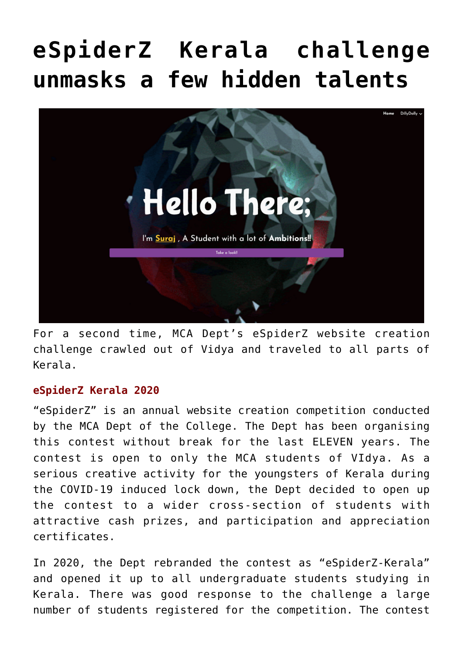# **[eSpiderZ Kerala challenge](https://news.vidyaacademy.ac.in/2021/11/18/espiderz-kerala-challenge-unmasks-hidden-talents/) [unmasks a few hidden talents](https://news.vidyaacademy.ac.in/2021/11/18/espiderz-kerala-challenge-unmasks-hidden-talents/)**



For a second time, MCA Dept's eSpiderZ website creation challenge crawled out of Vidya and traveled to all parts of Kerala.

## **eSpiderZ Kerala 2020**

"eSpiderZ" is an annual website creation competition conducted by the MCA Dept of the College. The Dept has been organising this contest without break for the last ELEVEN years. The contest is open to only the MCA students of VIdya. As a serious creative activity for the youngsters of Kerala during the COVID-19 induced lock down, the Dept decided to open up the contest to a wider cross-section of students with attractive cash prizes, and participation and appreciation certificates.

In 2020, the Dept rebranded the contest as "eSpiderZ-Kerala" and opened it up to all undergraduate students studying in Kerala. There was good response to the challenge a large number of students registered for the competition. The contest